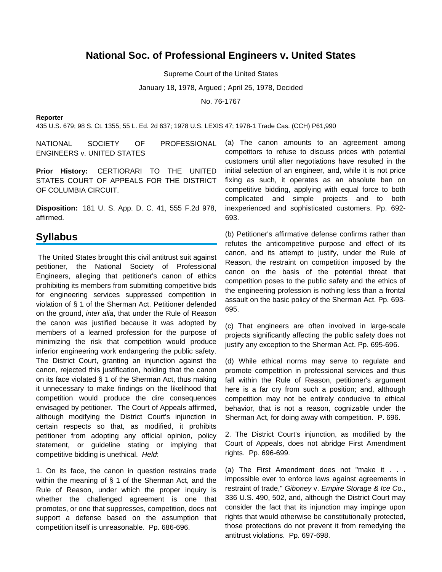## **National Soc. of Professional Engineers v. United States**

Supreme Court of the United States

January 18, 1978, Argued ; April 25, 1978, Decided

No. 76-1767

#### **Reporter**

435 U.S. 679; 98 S. Ct. 1355; 55 L. Ed. 2d 637; 1978 U.S. LEXIS 47; 1978-1 Trade Cas. (CCH) P61,990

NATIONAL SOCIETY OF PROFESSIONAL ENGINEERS v. UNITED STATES

**Prior History:** CERTIORARI TO THE UNITED STATES COURT OF APPEALS FOR THE DISTRICT OF COLUMBIA CIRCUIT.

**Disposition:** 181 U. S. App. D. C. 41, 555 F.2d 978, affirmed.

### **Syllabus**

The United States brought this civil antitrust suit against petitioner, the National Society of Professional Engineers, alleging that petitioner's canon of ethics prohibiting its members from submitting competitive bids for engineering services suppressed competition in violation of § 1 of the Sherman Act. Petitioner defended on the ground, inter alia, that under the Rule of Reason the canon was justified because it was adopted by members of a learned profession for the purpose of minimizing the risk that competition would produce inferior engineering work endangering the public safety. The District Court, granting an injunction against the canon, rejected this justification, holding that the canon on its face violated § 1 of the Sherman Act, thus making it unnecessary to make findings on the likelihood that competition would produce the dire consequences envisaged by petitioner. The Court of Appeals affirmed, although modifying the District Court's injunction in certain respects so that, as modified, it prohibits petitioner from adopting any official opinion, policy statement, or guideline stating or implying that competitive bidding is unethical. Held:

1. On its face, the canon in question restrains trade within the meaning of § 1 of the Sherman Act, and the Rule of Reason, under which the proper inquiry is whether the challenged agreement is one that promotes, or one that suppresses, competition, does not support a defense based on the assumption that competition itself is unreasonable. Pp. 686-696.

(a) The canon amounts to an agreement among competitors to refuse to discuss prices with potential customers until after negotiations have resulted in the initial selection of an engineer, and, while it is not price fixing as such, it operates as an absolute ban on competitive bidding, applying with equal force to both complicated and simple projects and to both inexperienced and sophisticated customers. Pp. 692- 693.

(b) Petitioner's affirmative defense confirms rather than refutes the anticompetitive purpose and effect of its canon, and its attempt to justify, under the Rule of Reason, the restraint on competition imposed by the canon on the basis of the potential threat that competition poses to the public safety and the ethics of the engineering profession is nothing less than a frontal assault on the basic policy of the Sherman Act. Pp. 693- 695.

(c) That engineers are often involved in large-scale projects significantly affecting the public safety does not justify any exception to the Sherman Act. Pp. 695-696.

(d) While ethical norms may serve to regulate and promote competition in professional services and thus fall within the Rule of Reason, petitioner's argument here is a far cry from such a position; and, although competition may not be entirely conducive to ethical behavior, that is not a reason, cognizable under the Sherman Act, for doing away with competition. P. 696.

2. The District Court's injunction, as modified by the Court of Appeals, does not abridge First Amendment rights. Pp. 696-699.

(a) The First Amendment does not "make it . . . impossible ever to enforce laws against agreements in restraint of trade," Giboney v. Empire Storage & Ice Co., 336 U.S. 490, 502, and, although the District Court may consider the fact that its injunction may impinge upon rights that would otherwise be constitutionally protected, those protections do not prevent it from remedying the antitrust violations. Pp. 697-698.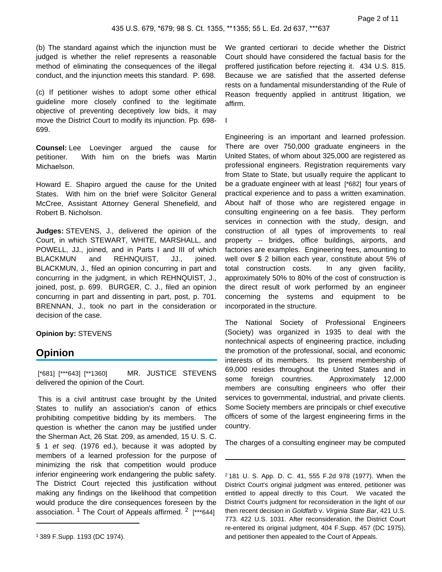(b) The standard against which the injunction must be judged is whether the relief represents a reasonable method of eliminating the consequences of the illegal conduct, and the injunction meets this standard. P. 698.

(c) If petitioner wishes to adopt some other ethical guideline more closely confined to the legitimate objective of preventing deceptively low bids, it may move the District Court to modify its injunction. Pp. 698- 699.

**Counsel:** Lee Loevinger argued the cause for petitioner. With him on the briefs was Martin Michaelson.

Howard E. Shapiro argued the cause for the United States. With him on the brief were Solicitor General McCree, Assistant Attorney General Shenefield, and Robert B. Nicholson.

**Judges:** STEVENS, J., delivered the opinion of the Court, in which STEWART, WHITE, MARSHALL, and POWELL, JJ., joined, and in Parts I and III of which BLACKMUN and REHNQUIST, JJ., joined. BLACKMUN, J., filed an opinion concurring in part and concurring in the judgment, in which REHNQUIST, J., joined, post, p. 699. BURGER, C. J., filed an opinion concurring in part and dissenting in part, post, p. 701. BRENNAN, J., took no part in the consideration or decision of the case.

**Opinion by:** STEVENS

# **Opinion**

[\*681] [\*\*\*643] [\*\*1360] MR. JUSTICE STEVENS delivered the opinion of the Court.

This is a civil antitrust case brought by the United States to nullify an association's canon of ethics prohibiting competitive bidding by its members. The question is whether the canon may be justified under the Sherman Act, 26 Stat. 209, as amended, 15 U. S. C. § 1 et seq. (1976 ed.), because it was adopted by members of a learned profession for the purpose of minimizing the risk that competition would produce inferior engineering work endangering the public safety. The District Court rejected this justification without making any findings on the likelihood that competition would produce the dire consequences foreseen by the association. <sup>1</sup> The Court of Appeals affirmed. <sup>2</sup> [\*\*\*644]

We granted certiorari to decide whether the District Court should have considered the factual basis for the proffered justification before rejecting it. 434 U.S. 815. Because we are satisfied that the asserted defense rests on a fundamental misunderstanding of the Rule of Reason frequently applied in antitrust litigation, we affirm.

I

Engineering is an important and learned profession. There are over 750,000 graduate engineers in the United States, of whom about 325,000 are registered as professional engineers. Registration requirements vary from State to State, but usually require the applicant to be a graduate engineer with at least [\*682] four years of practical experience and to pass a written examination. About half of those who are registered engage in consulting engineering on a fee basis. They perform services in connection with the study, design, and construction of all types of improvements to real property -- bridges, office buildings, airports, and factories are examples. Engineering fees, amounting to well over \$ 2 billion each year, constitute about 5% of total construction costs. In any given facility, approximately 50% to 80% of the cost of construction is the direct result of work performed by an engineer concerning the systems and equipment to be incorporated in the structure.

The National Society of Professional Engineers (Society) was organized in 1935 to deal with the nontechnical aspects of engineering practice, including the promotion of the professional, social, and economic interests of its members. Its present membership of 69,000 resides throughout the United States and in some foreign countries. Approximately 12,000 members are consulting engineers who offer their services to governmental, industrial, and private clients. Some Society members are principals or chief executive officers of some of the largest engineering firms in the country.

The charges of a consulting engineer may be computed

<sup>1</sup> 389 F.Supp. 1193 (DC 1974).

<sup>2</sup> 181 U. S. App. D. C. 41, 555 F.2d 978 (1977). When the District Court's original judgment was entered, petitioner was entitled to appeal directly to this Court. We vacated the District Court's judgment for reconsideration in the light of our then recent decision in Goldfarb v. Virginia State Bar, 421 U.S. 773. 422 U.S. 1031. After reconsideration, the District Court re-entered its original judgment, 404 F.Supp. 457 (DC 1975), and petitioner then appealed to the Court of Appeals.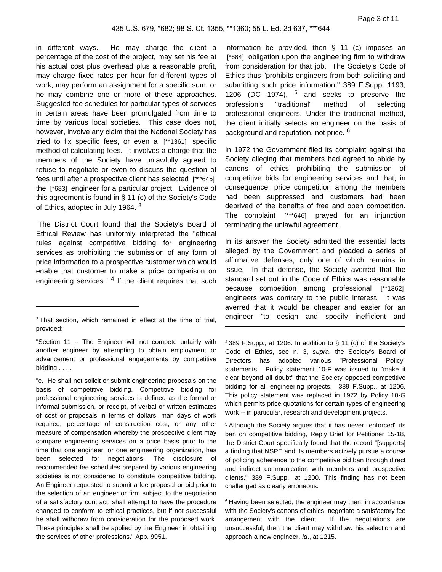in different ways. He may charge the client a percentage of the cost of the project, may set his fee at his actual cost plus overhead plus a reasonable profit, may charge fixed rates per hour for different types of work, may perform an assignment for a specific sum, or he may combine one or more of these approaches. Suggested fee schedules for particular types of services in certain areas have been promulgated from time to time by various local societies. This case does not, however, involve any claim that the National Society has tried to fix specific fees, or even a [\*\*1361] specific method of calculating fees. It involves a charge that the members of the Society have unlawfully agreed to refuse to negotiate or even to discuss the question of fees until after a prospective client has selected [\*\*\*645] the [\*683] engineer for a particular project. Evidence of this agreement is found in § 11 (c) of the Society's Code of Ethics, adopted in July 1964.<sup>3</sup>

The District Court found that the Society's Board of Ethical Review has uniformly interpreted the "ethical rules against competitive bidding for engineering services as prohibiting the submission of any form of price information to a prospective customer which would enable that customer to make a price comparison on engineering services." <sup>4</sup> If the client requires that such

information be provided, then § 11 (c) imposes an [\*684] obligation upon the engineering firm to withdraw from consideration for that job. The Society's Code of Ethics thus "prohibits engineers from both soliciting and submitting such price information," 389 F.Supp. 1193, 1206 (DC 1974),  $5$  and seeks to preserve the profession's "traditional" method of selecting professional engineers. Under the traditional method, the client initially selects an engineer on the basis of background and reputation, not price. <sup>6</sup>

In 1972 the Government filed its complaint against the Society alleging that members had agreed to abide by canons of ethics prohibiting the submission of competitive bids for engineering services and that, in consequence, price competition among the members had been suppressed and customers had been deprived of the benefits of free and open competition. The complaint [\*\*\*646] prayed for an injunction terminating the unlawful agreement.

In its answer the Society admitted the essential facts alleged by the Government and pleaded a series of affirmative defenses, only one of which remains in issue. In that defense, the Society averred that the standard set out in the Code of Ethics was reasonable because competition among professional [\*\*1362] engineers was contrary to the public interest. It was averred that it would be cheaper and easier for an engineer "to design and specify inefficient and

<sup>4</sup> 389 F.Supp., at 1206. In addition to § 11 (c) of the Society's Code of Ethics, see n. 3, supra, the Society's Board of Directors has adopted various "Professional Policy" statements. Policy statement 10-F was issued to "make it clear beyond all doubt" that the Society opposed competitive bidding for all engineering projects. 389 F.Supp., at 1206. This policy statement was replaced in 1972 by Policy 10-G which permits price quotations for certain types of engineering work -- in particular, research and development projects.

<sup>5</sup> Although the Society argues that it has never "enforced" its ban on competitive bidding, Reply Brief for Petitioner 15-18, the District Court specifically found that the record "[supports] a finding that NSPE and its members actively pursue a course of policing adherence to the competitive bid ban through direct and indirect communication with members and prospective clients." 389 F.Supp., at 1200. This finding has not been challenged as clearly erroneous.

<sup>6</sup> Having been selected, the engineer may then, in accordance with the Society's canons of ethics, negotiate a satisfactory fee arrangement with the client. If the negotiations are unsuccessful, then the client may withdraw his selection and approach a new engineer. Id., at 1215.

<sup>&</sup>lt;sup>3</sup> That section, which remained in effect at the time of trial, provided:

<sup>&</sup>quot;Section 11 -- The Engineer will not compete unfairly with another engineer by attempting to obtain employment or advancement or professional engagements by competitive bidding . . . .

<sup>&</sup>quot;c. He shall not solicit or submit engineering proposals on the basis of competitive bidding. Competitive bidding for professional engineering services is defined as the formal or informal submission, or receipt, of verbal or written estimates of cost or proposals in terms of dollars, man days of work required, percentage of construction cost, or any other measure of compensation whereby the prospective client may compare engineering services on a price basis prior to the time that one engineer, or one engineering organization, has been selected for negotiations. The disclosure of recommended fee schedules prepared by various engineering societies is not considered to constitute competitive bidding. An Engineer requested to submit a fee proposal or bid prior to the selection of an engineer or firm subject to the negotiation of a satisfactory contract, shall attempt to have the procedure changed to conform to ethical practices, but if not successful he shall withdraw from consideration for the proposed work. These principles shall be applied by the Engineer in obtaining the services of other professions." App. 9951.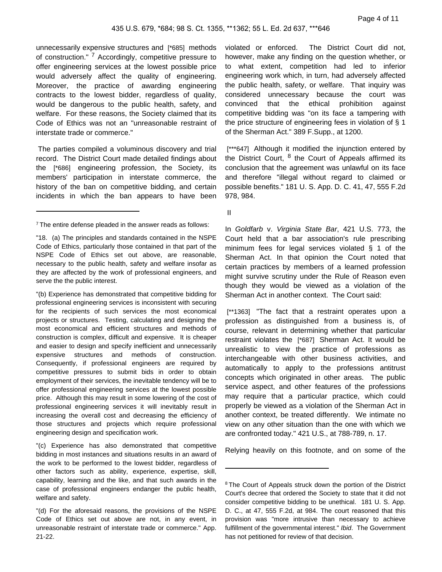unnecessarily expensive structures and [\*685] methods of construction." <sup>7</sup> Accordingly, competitive pressure to offer engineering services at the lowest possible price would adversely affect the quality of engineering. Moreover, the practice of awarding engineering contracts to the lowest bidder, regardless of quality, would be dangerous to the public health, safety, and welfare. For these reasons, the Society claimed that its Code of Ethics was not an "unreasonable restraint of interstate trade or commerce."

The parties compiled a voluminous discovery and trial record. The District Court made detailed findings about the [\*686] engineering profession, the Society, its members' participation in interstate commerce, the history of the ban on competitive bidding, and certain incidents in which the ban appears to have been

"(b) Experience has demonstrated that competitive bidding for professional engineering services is inconsistent with securing for the recipients of such services the most economical projects or structures. Testing, calculating and designing the most economical and efficient structures and methods of construction is complex, difficult and expensive. It is cheaper and easier to design and specify inefficient and unnecessarily expensive structures and methods of construction. Consequently, if professional engineers are required by competitive pressures to submit bids in order to obtain employment of their services, the inevitable tendency will be to offer professional engineering services at the lowest possible price. Although this may result in some lowering of the cost of professional engineering services it will inevitably result in increasing the overall cost and decreasing the efficiency of those structures and projects which require professional engineering design and specification work.

"(c) Experience has also demonstrated that competitive bidding in most instances and situations results in an award of the work to be performed to the lowest bidder, regardless of other factors such as ability, experience, expertise, skill, capability, learning and the like, and that such awards in the case of professional engineers endanger the public health, welfare and safety.

"(d) For the aforesaid reasons, the provisions of the NSPE Code of Ethics set out above are not, in any event, in unreasonable restraint of interstate trade or commerce." App. 21-22.

violated or enforced. The District Court did not, however, make any finding on the question whether, or to what extent, competition had led to inferior engineering work which, in turn, had adversely affected the public health, safety, or welfare. That inquiry was considered unnecessary because the court was convinced that the ethical prohibition against competitive bidding was "on its face a tampering with the price structure of engineering fees in violation of § 1 of the Sherman Act." 389 F.Supp., at 1200.

[\*\*\*647] Although it modified the injunction entered by the District Court, <sup>8</sup> the Court of Appeals affirmed its conclusion that the agreement was unlawful on its face and therefore "illegal without regard to claimed or possible benefits." 181 U. S. App. D. C. 41, 47, 555 F.2d 978, 984.

II

In Goldfarb v. Virginia State Bar, 421 U.S. 773, the Court held that a bar association's rule prescribing minimum fees for legal services violated § 1 of the Sherman Act. In that opinion the Court noted that certain practices by members of a learned profession might survive scrutiny under the Rule of Reason even though they would be viewed as a violation of the Sherman Act in another context. The Court said:

[\*\*1363] "The fact that a restraint operates upon a profession as distinguished from a business is, of course, relevant in determining whether that particular restraint violates the [\*687] Sherman Act. It would be unrealistic to view the practice of professions as interchangeable with other business activities, and automatically to apply to the professions antitrust concepts which originated in other areas. The public service aspect, and other features of the professions may require that a particular practice, which could properly be viewed as a violation of the Sherman Act in another context, be treated differently. We intimate no view on any other situation than the one with which we are confronted today." 421 U.S., at 788-789, n. 17.

Relying heavily on this footnote, and on some of the

<sup>&</sup>lt;sup>7</sup> The entire defense pleaded in the answer reads as follows:

<sup>&</sup>quot;18. (a) The principles and standards contained in the NSPE Code of Ethics, particularly those contained in that part of the NSPE Code of Ethics set out above, are reasonable, necessary to the public health, safety and welfare insofar as they are affected by the work of professional engineers, and serve the the public interest.

<sup>&</sup>lt;sup>8</sup> The Court of Appeals struck down the portion of the District Court's decree that ordered the Society to state that it did not consider competitive bidding to be unethical. 181 U. S. App. D. C., at 47, 555 F.2d, at 984. The court reasoned that this provision was "more intrusive than necessary to achieve fulfillment of the governmental interest." Ibid. The Government has not petitioned for review of that decision.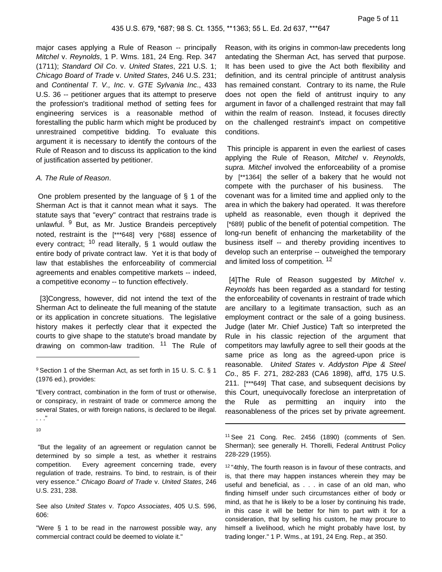major cases applying a Rule of Reason -- principally Mitchel v. Reynolds, 1 P. Wms. 181, 24 Eng. Rep. 347 (1711); Standard Oil Co. v. United States, 221 U.S. 1; Chicago Board of Trade v. United States, 246 U.S. 231; and Continental T. V., Inc. v. GTE Sylvania Inc., 433 U.S. 36 -- petitioner argues that its attempt to preserve the profession's traditional method of setting fees for engineering services is a reasonable method of forestalling the public harm which might be produced by unrestrained competitive bidding. To evaluate this argument it is necessary to identify the contours of the Rule of Reason and to discuss its application to the kind of justification asserted by petitioner.

#### A. The Rule of Reason.

One problem presented by the language of § 1 of the Sherman Act is that it cannot mean what it says. The statute says that "every" contract that restrains trade is unlawful. <sup>9</sup> But, as Mr. Justice Brandeis perceptively noted, restraint is the [\*\*\*648] very [\*688] essence of every contract;  $10$  read literally, § 1 would outlaw the entire body of private contract law. Yet it is that body of law that establishes the enforceability of commercial agreements and enables competitive markets -- indeed, a competitive economy -- to function effectively.

 [3]Congress, however, did not intend the text of the Sherman Act to delineate the full meaning of the statute or its application in concrete situations. The legislative history makes it perfectly clear that it expected the courts to give shape to the statute's broad mandate by drawing on common-law tradition. <sup>11</sup> The Rule of

10

"But the legality of an agreement or regulation cannot be determined by so simple a test, as whether it restrains competition. Every agreement concerning trade, every regulation of trade, restrains. To bind, to restrain, is of their very essence." Chicago Board of Trade v. United States, 246 U.S. 231, 238.

See also United States v. Topco Associates, 405 U.S. 596, 606:

"Were § 1 to be read in the narrowest possible way, any commercial contract could be deemed to violate it."

Reason, with its origins in common-law precedents long antedating the Sherman Act, has served that purpose. It has been used to give the Act both flexibility and definition, and its central principle of antitrust analysis has remained constant. Contrary to its name, the Rule does not open the field of antitrust inquiry to any argument in favor of a challenged restraint that may fall within the realm of reason. Instead, it focuses directly on the challenged restraint's impact on competitive conditions.

This principle is apparent in even the earliest of cases applying the Rule of Reason, Mitchel v. Reynolds, supra. Mitchel involved the enforceability of a promise by [\*\*1364] the seller of a bakery that he would not compete with the purchaser of his business. The covenant was for a limited time and applied only to the area in which the bakery had operated. It was therefore upheld as reasonable, even though it deprived the [\*689] public of the benefit of potential competition. The long-run benefit of enhancing the marketability of the business itself -- and thereby providing incentives to develop such an enterprise -- outweighed the temporary and limited loss of competition. <sup>12</sup>

[4] The Rule of Reason suggested by Mitchel v. Reynolds has been regarded as a standard for testing the enforceability of covenants in restraint of trade which are ancillary to a legitimate transaction, such as an employment contract or the sale of a going business. Judge (later Mr. Chief Justice) Taft so interpreted the Rule in his classic rejection of the argument that competitors may lawfully agree to sell their goods at the same price as long as the agreed-upon price is reasonable. United States v. Addyston Pipe & Steel Co., 85 F. 271, 282-283 (CA6 1898), aff'd, 175 U.S. 211. [\*\*\*649] That case, and subsequent decisions by this Court, unequivocally foreclose an interpretation of the Rule as permitting an inquiry into the reasonableness of the prices set by private agreement.

<sup>11</sup> See 21 Cong. Rec. 2456 (1890) (comments of Sen. Sherman); see generally H. Thorelli, Federal Antitrust Policy 228-229 (1955).

<sup>12</sup> "4thly, The fourth reason is in favour of these contracts, and is, that there may happen instances wherein they may be useful and beneficial, as . . . in case of an old man, who finding himself under such circumstances either of body or mind, as that he is likely to be a loser by continuing his trade, in this case it will be better for him to part with it for a consideration, that by selling his custom, he may procure to himself a livelihood, which he might probably have lost, by trading longer." 1 P. Wms., at 191, 24 Eng. Rep., at 350.

<sup>9</sup> Section 1 of the Sherman Act, as set forth in 15 U. S. C. § 1 (1976 ed.), provides:

<sup>&</sup>quot;Every contract, combination in the form of trust or otherwise, or conspiracy, in restraint of trade or commerce among the several States, or with foreign nations, is declared to be illegal. . . ."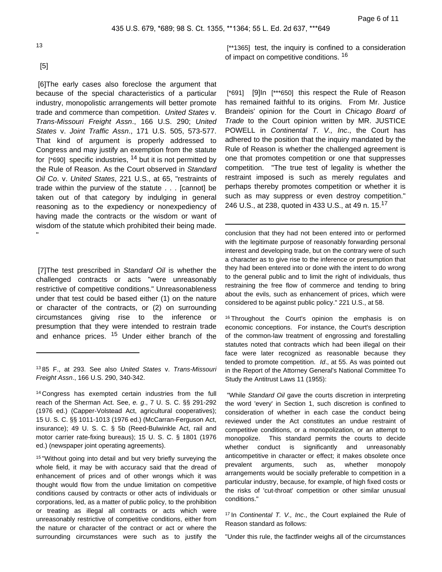13

### [5]

[6]The early cases also foreclose the argument that because of the special characteristics of a particular industry, monopolistic arrangements will better promote trade and commerce than competition. United States v. Trans-Missouri Freight Assn., 166 U.S. 290; United States v. Joint Traffic Assn., 171 U.S. 505, 573-577. That kind of argument is properly addressed to Congress and may justify an exemption from the statute for  $[^*690]$  specific industries, <sup>14</sup> but it is not permitted by the Rule of Reason. As the Court observed in Standard Oil Co. v. United States, 221 U.S., at 65, "restraints of trade within the purview of the statute . . . [cannot] be taken out of that category by indulging in general reasoning as to the expediency or nonexpediency of having made the contracts or the wisdom or want of wisdom of the statute which prohibited their being made. "

[7]The test prescribed in Standard Oil is whether the challenged contracts or acts "were unreasonably restrictive of competitive conditions." Unreasonableness under that test could be based either (1) on the nature or character of the contracts, or (2) on surrounding circumstances giving rise to the inference or presumption that they were intended to restrain trade and enhance prices. <sup>15</sup> Under either branch of the

<sup>15</sup> "Without going into detail and but very briefly surveying the whole field, it may be with accuracy said that the dread of enhancement of prices and of other wrongs which it was thought would flow from the undue limitation on competitive conditions caused by contracts or other acts of individuals or corporations, led, as a matter of public policy, to the prohibition or treating as illegal all contracts or acts which were unreasonably restrictive of competitive conditions, either from the nature or character of the contract or act or where the surrounding circumstances were such as to justify the

[\*\*1365] test, the inquiry is confined to a consideration of impact on competitive conditions. <sup>16</sup>

[\*691] [9]In [\*\*\*650] this respect the Rule of Reason has remained faithful to its origins. From Mr. Justice Brandeis' opinion for the Court in Chicago Board of Trade to the Court opinion written by MR. JUSTICE POWELL in Continental T. V., Inc., the Court has adhered to the position that the inquiry mandated by the Rule of Reason is whether the challenged agreement is one that promotes competition or one that suppresses competition. "The true test of legality is whether the restraint imposed is such as merely regulates and perhaps thereby promotes competition or whether it is such as may suppress or even destroy competition." 246 U.S., at 238, quoted in 433 U.S., at 49 n. 15.<sup>17</sup>

conclusion that they had not been entered into or performed with the legitimate purpose of reasonably forwarding personal interest and developing trade, but on the contrary were of such a character as to give rise to the inference or presumption that they had been entered into or done with the intent to do wrong to the general public and to limit the right of individuals, thus restraining the free flow of commerce and tending to bring about the evils, such as enhancement of prices, which were considered to be against public policy." 221 U.S., at 58.

<sup>16</sup> Throughout the Court's opinion the emphasis is on economic conceptions. For instance, the Court's description of the common-law treatment of engrossing and forestalling statutes noted that contracts which had been illegal on their face were later recognized as reasonable because they tended to promote competition. Id., at 55. As was pointed out in the Report of the Attorney General's National Committee To Study the Antitrust Laws 11 (1955):

"While Standard Oil gave the courts discretion in interpreting the word 'every' in Section 1, such discretion is confined to consideration of whether in each case the conduct being reviewed under the Act constitutes an undue restraint of competitive conditions, or a monopolization, or an attempt to monopolize. This standard permits the courts to decide whether conduct is significantly and unreasonably anticompetitive in character or effect; it makes obsolete once prevalent arguments, such as, whether monopoly arrangements would be socially preferable to competition in a particular industry, because, for example, of high fixed costs or the risks of 'cut-throat' competition or other similar unusual conditions."

<sup>17</sup> In Continental T. V., Inc., the Court explained the Rule of Reason standard as follows:

"Under this rule, the factfinder weighs all of the circumstances

<sup>13</sup> 85 F., at 293. See also United States v. Trans-Missouri Freight Assn., 166 U.S. 290, 340-342.

<sup>14</sup> Congress has exempted certain industries from the full reach of the Sherman Act. See, e. g., 7 U. S. C. §§ 291-292 (1976 ed.) (Capper-Volstead Act, agricultural cooperatives); 15 U. S. C. §§ 1011-1013 (1976 ed.) (McCarran-Ferguson Act, insurance); 49 U. S. C. § 5b (Reed-Bulwinkle Act, rail and motor carrier rate-fixing bureaus); 15 U. S. C. § 1801 (1976 ed.) (newspaper joint operating agreements).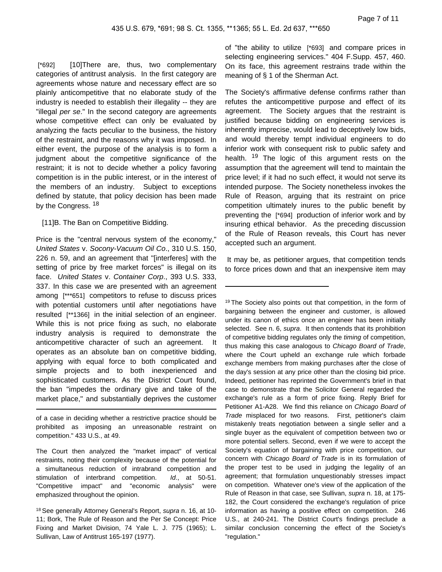[\*692] [10]There are, thus, two complementary categories of antitrust analysis. In the first category are agreements whose nature and necessary effect are so plainly anticompetitive that no elaborate study of the industry is needed to establish their illegality -- they are "illegal per se." In the second category are agreements whose competitive effect can only be evaluated by analyzing the facts peculiar to the business, the history of the restraint, and the reasons why it was imposed. In either event, the purpose of the analysis is to form a judgment about the competitive significance of the restraint; it is not to decide whether a policy favoring competition is in the public interest, or in the interest of the members of an industry. Subject to exceptions defined by statute, that policy decision has been made by the Congress. <sup>18</sup>

#### [11]B. The Ban on Competitive Bidding.

Price is the "central nervous system of the economy," United States v. Socony-Vacuum Oil Co., 310 U.S. 150, 226 n. 59, and an agreement that "[interferes] with the setting of price by free market forces" is illegal on its face. United States v. Container Corp., 393 U.S. 333, 337. In this case we are presented with an agreement among [\*\*\*651] competitors to refuse to discuss prices with potential customers until after negotiations have resulted [\*\*1366] in the initial selection of an engineer. While this is not price fixing as such, no elaborate industry analysis is required to demonstrate the anticompetitive character of such an agreement. It operates as an absolute ban on competitive bidding, applying with equal force to both complicated and simple projects and to both inexperienced and sophisticated customers. As the District Court found, the ban "impedes the ordinary give and take of the market place," and substantially deprives the customer

of a case in deciding whether a restrictive practice should be prohibited as imposing an unreasonable restraint on competition." 433 U.S., at 49.

The Court then analyzed the "market impact" of vertical restraints, noting their complexity because of the potential for a simultaneous reduction of intrabrand competition and stimulation of interbrand competition. Id., at 50-51. "Competitive impact" and "economic analysis" were emphasized throughout the opinion.

<sup>18</sup> See generally Attorney General's Report, supra n. 16, at 10- 11; Bork, The Rule of Reason and the Per Se Concept: Price Fixing and Market Division, 74 Yale L. J. 775 (1965); L. Sullivan, Law of Antitrust 165-197 (1977).

of "the ability to utilize [\*693] and compare prices in selecting engineering services." 404 F.Supp. 457, 460. On its face, this agreement restrains trade within the meaning of § 1 of the Sherman Act.

The Society's affirmative defense confirms rather than refutes the anticompetitive purpose and effect of its agreement. The Society argues that the restraint is justified because bidding on engineering services is inherently imprecise, would lead to deceptively low bids, and would thereby tempt individual engineers to do inferior work with consequent risk to public safety and health. <sup>19</sup> The logic of this argument rests on the assumption that the agreement will tend to maintain the price level; if it had no such effect, it would not serve its intended purpose. The Society nonetheless invokes the Rule of Reason, arguing that its restraint on price competition ultimately inures to the public benefit by preventing the [\*694] production of inferior work and by insuring ethical behavior. As the preceding discussion of the Rule of Reason reveals, this Court has never accepted such an argument.

It may be, as petitioner argues, that competition tends to force prices down and that an inexpensive item may

<sup>19</sup> The Society also points out that competition, in the form of bargaining between the engineer and customer, is allowed under its canon of ethics once an engineer has been initially selected. See n. 6, supra. It then contends that its prohibition of competitive bidding regulates only the timing of competition, thus making this case analogous to Chicago Board of Trade, where the Court upheld an exchange rule which forbade exchange members from making purchases after the close of the day's session at any price other than the closing bid price. Indeed, petitioner has reprinted the Government's brief in that case to demonstrate that the Solicitor General regarded the exchange's rule as a form of price fixing. Reply Brief for Petitioner A1-A28. We find this reliance on Chicago Board of Trade misplaced for two reasons. First, petitioner's claim mistakenly treats negotiation between a single seller and a single buyer as the equivalent of competition between two or more potential sellers. Second, even if we were to accept the Society's equation of bargaining with price competition, our concern with Chicago Board of Trade is in its formulation of the proper test to be used in judging the legality of an agreement; that formulation unquestionably stresses impact on competition. Whatever one's view of the application of the Rule of Reason in that case, see Sullivan, supra n. 18, at 175- 182, the Court considered the exchange's regulation of price information as having a positive effect on competition. 246 U.S., at 240-241. The District Court's findings preclude a similar conclusion concerning the effect of the Society's "regulation."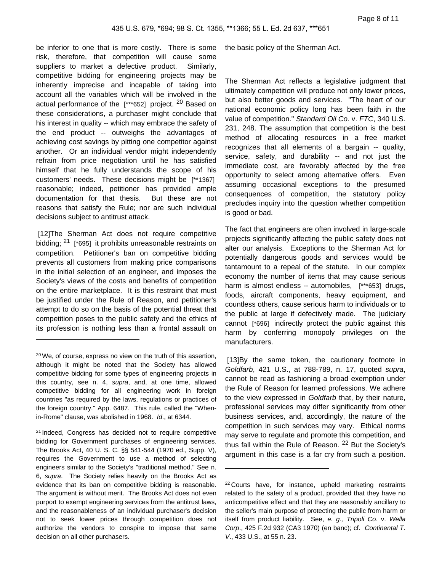be inferior to one that is more costly. There is some risk, therefore, that competition will cause some suppliers to market a defective product. Similarly, competitive bidding for engineering projects may be inherently imprecise and incapable of taking into account all the variables which will be involved in the actual performance of the [\*\*\*652] project. <sup>20</sup> Based on these considerations, a purchaser might conclude that his interest in quality -- which may embrace the safety of the end product -- outweighs the advantages of achieving cost savings by pitting one competitor against another. Or an individual vendor might independently refrain from price negotiation until he has satisfied himself that he fully understands the scope of his customers' needs. These decisions might be [\*\*1367] reasonable; indeed, petitioner has provided ample documentation for that thesis. But these are not reasons that satisfy the Rule; nor are such individual decisions subject to antitrust attack.

[12]The Sherman Act does not require competitive bidding;  $^{21}$  [\*695] it prohibits unreasonable restraints on competition. Petitioner's ban on competitive bidding prevents all customers from making price comparisons in the initial selection of an engineer, and imposes the Society's views of the costs and benefits of competition on the entire marketplace. It is this restraint that must be justified under the Rule of Reason, and petitioner's attempt to do so on the basis of the potential threat that competition poses to the public safety and the ethics of its profession is nothing less than a frontal assault on

<sup>21</sup> Indeed, Congress has decided not to require competitive bidding for Government purchases of engineering services. The Brooks Act, 40 U. S. C. §§ 541-544 (1970 ed., Supp. V), requires the Government to use a method of selecting engineers similar to the Society's "traditional method." See n. 6, supra. The Society relies heavily on the Brooks Act as evidence that its ban on competitive bidding is reasonable. The argument is without merit. The Brooks Act does not even purport to exempt engineering services from the antitrust laws, and the reasonableness of an individual purchaser's decision not to seek lower prices through competition does not authorize the vendors to conspire to impose that same decision on all other purchasers.

the basic policy of the Sherman Act.

The Sherman Act reflects a legislative judgment that ultimately competition will produce not only lower prices, but also better goods and services. "The heart of our national economic policy long has been faith in the value of competition." Standard Oil Co. v. FTC, 340 U.S. 231, 248. The assumption that competition is the best method of allocating resources in a free market recognizes that all elements of a bargain -- quality, service, safety, and durability -- and not just the immediate cost, are favorably affected by the free opportunity to select among alternative offers. Even assuming occasional exceptions to the presumed consequences of competition, the statutory policy precludes inquiry into the question whether competition is good or bad.

The fact that engineers are often involved in large-scale projects significantly affecting the public safety does not alter our analysis. Exceptions to the Sherman Act for potentially dangerous goods and services would be tantamount to a repeal of the statute. In our complex economy the number of items that may cause serious harm is almost endless -- automobiles, [\*\*\*653] drugs, foods, aircraft components, heavy equipment, and countless others, cause serious harm to individuals or to the public at large if defectively made. The judiciary cannot [\*696] indirectly protect the public against this harm by conferring monopoly privileges on the manufacturers.

[13]By the same token, the cautionary footnote in Goldfarb, 421 U.S., at 788-789, n. 17, quoted supra, cannot be read as fashioning a broad exemption under the Rule of Reason for learned professions. We adhere to the view expressed in Goldfarb that, by their nature, professional services may differ significantly from other business services, and, accordingly, the nature of the competition in such services may vary. Ethical norms may serve to regulate and promote this competition, and thus fall within the Rule of Reason.  $22$  But the Society's argument in this case is a far cry from such a position.

<sup>20</sup> We, of course, express no view on the truth of this assertion, although it might be noted that the Society has allowed competitive bidding for some types of engineering projects in this country, see n. 4, supra, and, at one time, allowed competitive bidding for all engineering work in foreign countries "as required by the laws, regulations or practices of the foreign country." App. 6487. This rule, called the "Whenin-Rome" clause, was abolished in 1968. Id., at 6344.

<sup>&</sup>lt;sup>22</sup> Courts have, for instance, upheld marketing restraints related to the safety of a product, provided that they have no anticompetitive effect and that they are reasonably ancillary to the seller's main purpose of protecting the public from harm or itself from product liability. See, e. g., Tripoli Co. v. Wella Corp., 425 F.2d 932 (CA3 1970) (en banc); cf. Continental T. V., 433 U.S., at 55 n. 23.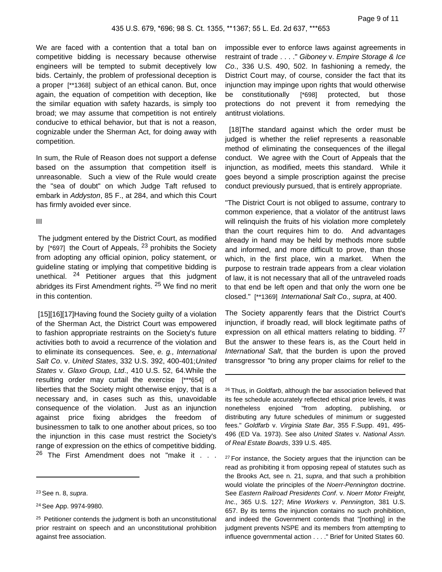We are faced with a contention that a total ban on competitive bidding is necessary because otherwise engineers will be tempted to submit deceptively low bids. Certainly, the problem of professional deception is a proper [\*\*1368] subject of an ethical canon. But, once again, the equation of competition with deception, like the similar equation with safety hazards, is simply too broad; we may assume that competition is not entirely conducive to ethical behavior, but that is not a reason, cognizable under the Sherman Act, for doing away with competition.

In sum, the Rule of Reason does not support a defense based on the assumption that competition itself is unreasonable. Such a view of the Rule would create the "sea of doubt" on which Judge Taft refused to embark in Addyston, 85 F., at 284, and which this Court has firmly avoided ever since.

#### III

The judgment entered by the District Court, as modified by  $[^*697]$  the Court of Appeals,  $^{23}$  prohibits the Society from adopting any official opinion, policy statement, or guideline stating or implying that competitive bidding is unethical.  $24$  Petitioner argues that this judgment abridges its First Amendment rights. <sup>25</sup> We find no merit in this contention.

[15][16][17] Having found the Society guilty of a violation of the Sherman Act, the District Court was empowered to fashion appropriate restraints on the Society's future activities both to avoid a recurrence of the violation and to eliminate its consequences. See, e. g., International Salt Co. v. United States, 332 U.S. 392, 400-401;United States v. Glaxo Group, Ltd., 410 U.S. 52, 64.While the resulting order may curtail the exercise [\*\*\*654] of liberties that the Society might otherwise enjoy, that is a necessary and, in cases such as this, unavoidable consequence of the violation. Just as an injunction against price fixing abridges the freedom of businessmen to talk to one another about prices, so too the injunction in this case must restrict the Society's range of expression on the ethics of competitive bidding.  $26$  The First Amendment does not "make it . . .

impossible ever to enforce laws against agreements in restraint of trade . . . ." Giboney v. Empire Storage & Ice Co., 336 U.S. 490, 502. In fashioning a remedy, the District Court may, of course, consider the fact that its injunction may impinge upon rights that would otherwise be constitutionally [\*698] protected, but those protections do not prevent it from remedying the antitrust violations.

 [18]The standard against which the order must be judged is whether the relief represents a reasonable method of eliminating the consequences of the illegal conduct. We agree with the Court of Appeals that the injunction, as modified, meets this standard. While it goes beyond a simple proscription against the precise conduct previously pursued, that is entirely appropriate.

"The District Court is not obliged to assume, contrary to common experience, that a violator of the antitrust laws will relinquish the fruits of his violation more completely than the court requires him to do. And advantages already in hand may be held by methods more subtle and informed, and more difficult to prove, than those which, in the first place, win a market. When the purpose to restrain trade appears from a clear violation of law, it is not necessary that all of the untraveled roads to that end be left open and that only the worn one be closed." [\*\*1369] International Salt Co., supra, at 400.

The Society apparently fears that the District Court's injunction, if broadly read, will block legitimate paths of expression on all ethical matters relating to bidding. <sup>27</sup> But the answer to these fears is, as the Court held in International Salt, that the burden is upon the proved transgressor "to bring any proper claims for relief to the

<sup>26</sup> Thus, in Goldfarb, although the bar association believed that its fee schedule accurately reflected ethical price levels, it was nonetheless enjoined "from adopting, publishing, or distributing any future schedules of minimum or suggested fees." Goldfarb v. Virginia State Bar, 355 F.Supp. 491, 495- 496 (ED Va. 1973). See also United States v. National Assn. of Real Estate Boards, 339 U.S. 485.

<sup>27</sup> For instance, the Society argues that the injunction can be read as prohibiting it from opposing repeal of statutes such as the Brooks Act, see n. 21, supra, and that such a prohibition would violate the principles of the Noerr-Pennington doctrine. See Eastern Railroad Presidents Conf. v. Noerr Motor Freight, Inc., 365 U.S. 127; Mine Workers v. Pennington, 381 U.S. 657. By its terms the injunction contains no such prohibition, and indeed the Government contends that "[nothing] in the judgment prevents NSPE and its members from attempting to influence governmental action . . . ." Brief for United States 60.

<sup>23</sup> See n. 8, supra.

<sup>24</sup> See App. 9974-9980.

<sup>&</sup>lt;sup>25</sup> Petitioner contends the judgment is both an unconstitutional prior restraint on speech and an unconstitutional prohibition against free association.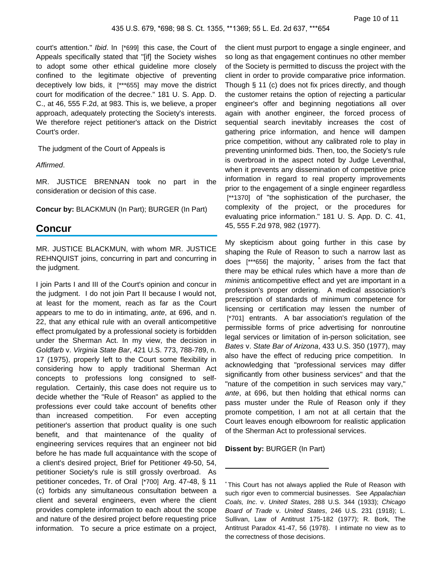court's attention." Ibid. In [\*699] this case, the Court of Appeals specifically stated that "[if] the Society wishes to adopt some other ethical guideline more closely confined to the legitimate objective of preventing deceptively low bids, it [\*\*\*655] may move the district court for modification of the decree." 181 U. S. App. D. C., at 46, 555 F.2d, at 983. This is, we believe, a proper approach, adequately protecting the Society's interests. We therefore reject petitioner's attack on the District Court's order.

The judgment of the Court of Appeals is

#### Affirmed.

MR. JUSTICE BRENNAN took no part in the consideration or decision of this case.

**Concur by:** BLACKMUN (In Part); BURGER (In Part)

### **Concur**

MR. JUSTICE BLACKMUN, with whom MR. JUSTICE REHNQUIST joins, concurring in part and concurring in the judgment.

I join Parts I and III of the Court's opinion and concur in the judgment. I do not join Part II because I would not, at least for the moment, reach as far as the Court appears to me to do in intimating, ante, at 696, and n. 22, that any ethical rule with an overall anticompetitive effect promulgated by a professional society is forbidden under the Sherman Act. In my view, the decision in Goldfarb v. Virginia State Bar, 421 U.S. 773, 788-789, n. 17 (1975), properly left to the Court some flexibility in considering how to apply traditional Sherman Act concepts to professions long consigned to selfregulation. Certainly, this case does not require us to decide whether the "Rule of Reason" as applied to the professions ever could take account of benefits other than increased competition. For even accepting petitioner's assertion that product quality is one such benefit, and that maintenance of the quality of engineering services requires that an engineer not bid before he has made full acquaintance with the scope of a client's desired project, Brief for Petitioner 49-50, 54, petitioner Society's rule is still grossly overbroad. As petitioner concedes, Tr. of Oral [\*700] Arg. 47-48, § 11 (c) forbids any simultaneous consultation between a client and several engineers, even where the client provides complete information to each about the scope and nature of the desired project before requesting price information. To secure a price estimate on a project,

the client must purport to engage a single engineer, and so long as that engagement continues no other member of the Society is permitted to discuss the project with the client in order to provide comparative price information. Though § 11 (c) does not fix prices directly, and though the customer retains the option of rejecting a particular engineer's offer and beginning negotiations all over again with another engineer, the forced process of sequential search inevitably increases the cost of gathering price information, and hence will dampen price competition, without any calibrated role to play in preventing uninformed bids. Then, too, the Society's rule is overbroad in the aspect noted by Judge Leventhal, when it prevents any dissemination of competitive price information in regard to real property improvements prior to the engagement of a single engineer regardless [\*\*1370] of "the sophistication of the purchaser, the complexity of the project, or the procedures for evaluating price information." 181 U. S. App. D. C. 41, 45, 555 F.2d 978, 982 (1977).

My skepticism about going further in this case by shaping the Rule of Reason to such a narrow last as does [\*\*\*656] the majority, \* arises from the fact that there may be ethical rules which have a more than de minimis anticompetitive effect and yet are important in a profession's proper ordering. A medical association's prescription of standards of minimum competence for licensing or certification may lessen the number of [\*701] entrants. A bar association's regulation of the permissible forms of price advertising for nonroutine legal services or limitation of in-person solicitation, see Bates v. State Bar of Arizona, 433 U.S. 350 (1977), may also have the effect of reducing price competition. In acknowledging that "professional services may differ significantly from other business services" and that the "nature of the competition in such services may vary," ante, at 696, but then holding that ethical norms can pass muster under the Rule of Reason only if they promote competition, I am not at all certain that the Court leaves enough elbowroom for realistic application of the Sherman Act to professional services.

**Dissent by:** BURGER (In Part)

<sup>\*</sup> This Court has not always applied the Rule of Reason with such rigor even to commercial businesses. See Appalachian Coals, Inc. v. United States, 288 U.S. 344 (1933); Chicago Board of Trade v. United States, 246 U.S. 231 (1918); L. Sullivan, Law of Antitrust 175-182 (1977); R. Bork, The Antitrust Paradox 41-47, 56 (1978). I intimate no view as to the correctness of those decisions.